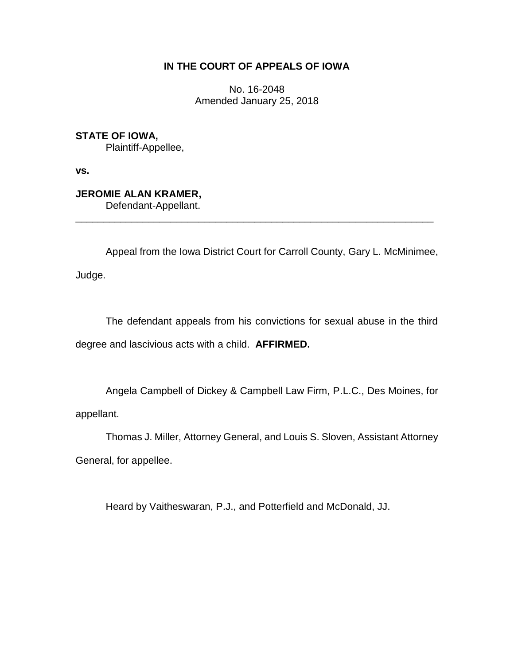# **IN THE COURT OF APPEALS OF IOWA**

No. 16-2048 Amended January 25, 2018

**STATE OF IOWA,** Plaintiff-Appellee,

**vs.**

**JEROMIE ALAN KRAMER,** Defendant-Appellant.

Appeal from the Iowa District Court for Carroll County, Gary L. McMinimee,

\_\_\_\_\_\_\_\_\_\_\_\_\_\_\_\_\_\_\_\_\_\_\_\_\_\_\_\_\_\_\_\_\_\_\_\_\_\_\_\_\_\_\_\_\_\_\_\_\_\_\_\_\_\_\_\_\_\_\_\_\_\_\_\_

Judge.

The defendant appeals from his convictions for sexual abuse in the third degree and lascivious acts with a child. **AFFIRMED.**

Angela Campbell of Dickey & Campbell Law Firm, P.L.C., Des Moines, for appellant.

Thomas J. Miller, Attorney General, and Louis S. Sloven, Assistant Attorney

General, for appellee.

Heard by Vaitheswaran, P.J., and Potterfield and McDonald, JJ.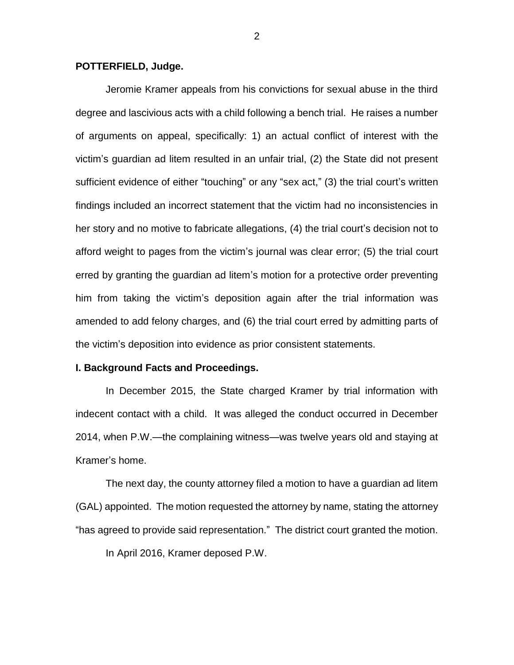### **POTTERFIELD, Judge.**

Jeromie Kramer appeals from his convictions for sexual abuse in the third degree and lascivious acts with a child following a bench trial. He raises a number of arguments on appeal, specifically: 1) an actual conflict of interest with the victim's guardian ad litem resulted in an unfair trial, (2) the State did not present sufficient evidence of either "touching" or any "sex act," (3) the trial court's written findings included an incorrect statement that the victim had no inconsistencies in her story and no motive to fabricate allegations, (4) the trial court's decision not to afford weight to pages from the victim's journal was clear error; (5) the trial court erred by granting the guardian ad litem's motion for a protective order preventing him from taking the victim's deposition again after the trial information was amended to add felony charges, and (6) the trial court erred by admitting parts of the victim's deposition into evidence as prior consistent statements.

#### **I. Background Facts and Proceedings.**

In December 2015, the State charged Kramer by trial information with indecent contact with a child. It was alleged the conduct occurred in December 2014, when P.W.—the complaining witness—was twelve years old and staying at Kramer's home.

The next day, the county attorney filed a motion to have a guardian ad litem (GAL) appointed. The motion requested the attorney by name, stating the attorney "has agreed to provide said representation." The district court granted the motion.

In April 2016, Kramer deposed P.W.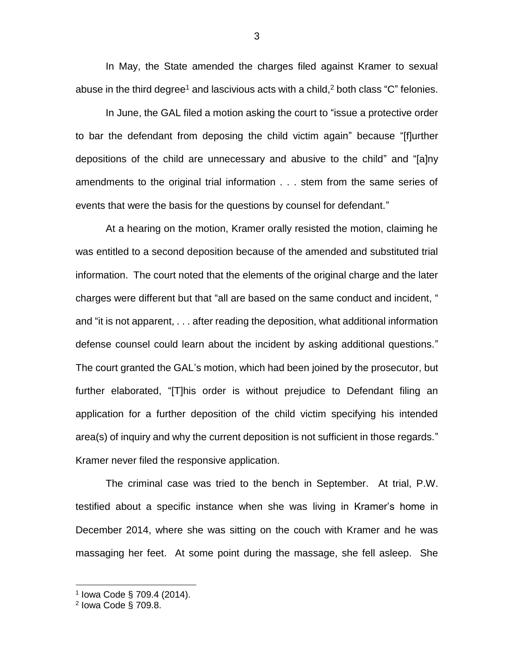In May, the State amended the charges filed against Kramer to sexual abuse in the third degree<sup>1</sup> and lascivious acts with a child,<sup>2</sup> both class "C" felonies.

In June, the GAL filed a motion asking the court to "issue a protective order to bar the defendant from deposing the child victim again" because "[f]urther depositions of the child are unnecessary and abusive to the child" and "[a]ny amendments to the original trial information . . . stem from the same series of events that were the basis for the questions by counsel for defendant."

At a hearing on the motion, Kramer orally resisted the motion, claiming he was entitled to a second deposition because of the amended and substituted trial information. The court noted that the elements of the original charge and the later charges were different but that "all are based on the same conduct and incident, " and "it is not apparent, . . . after reading the deposition, what additional information defense counsel could learn about the incident by asking additional questions." The court granted the GAL's motion, which had been joined by the prosecutor, but further elaborated, "[T]his order is without prejudice to Defendant filing an application for a further deposition of the child victim specifying his intended area(s) of inquiry and why the current deposition is not sufficient in those regards." Kramer never filed the responsive application.

The criminal case was tried to the bench in September. At trial, P.W. testified about a specific instance when she was living in Kramer's home in December 2014, where she was sitting on the couch with Kramer and he was massaging her feet. At some point during the massage, she fell asleep. She

 $\overline{a}$ 

<sup>&</sup>lt;sup>1</sup> Iowa Code § 709.4 (2014).<br><sup>2</sup> Iowa Code § 709.8.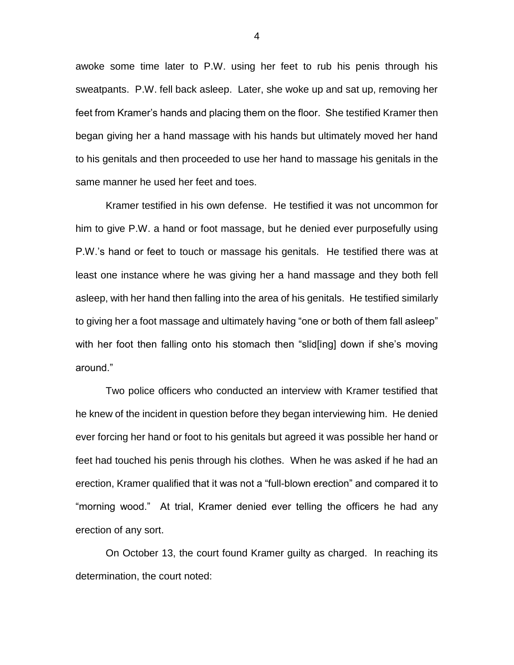awoke some time later to P.W. using her feet to rub his penis through his sweatpants. P.W. fell back asleep. Later, she woke up and sat up, removing her feet from Kramer's hands and placing them on the floor. She testified Kramer then began giving her a hand massage with his hands but ultimately moved her hand to his genitals and then proceeded to use her hand to massage his genitals in the same manner he used her feet and toes.

Kramer testified in his own defense. He testified it was not uncommon for him to give P.W. a hand or foot massage, but he denied ever purposefully using P.W.'s hand or feet to touch or massage his genitals. He testified there was at least one instance where he was giving her a hand massage and they both fell asleep, with her hand then falling into the area of his genitals. He testified similarly to giving her a foot massage and ultimately having "one or both of them fall asleep" with her foot then falling onto his stomach then "slid[ing] down if she's moving around."

Two police officers who conducted an interview with Kramer testified that he knew of the incident in question before they began interviewing him. He denied ever forcing her hand or foot to his genitals but agreed it was possible her hand or feet had touched his penis through his clothes. When he was asked if he had an erection, Kramer qualified that it was not a "full-blown erection" and compared it to "morning wood." At trial, Kramer denied ever telling the officers he had any erection of any sort.

On October 13, the court found Kramer guilty as charged. In reaching its determination, the court noted: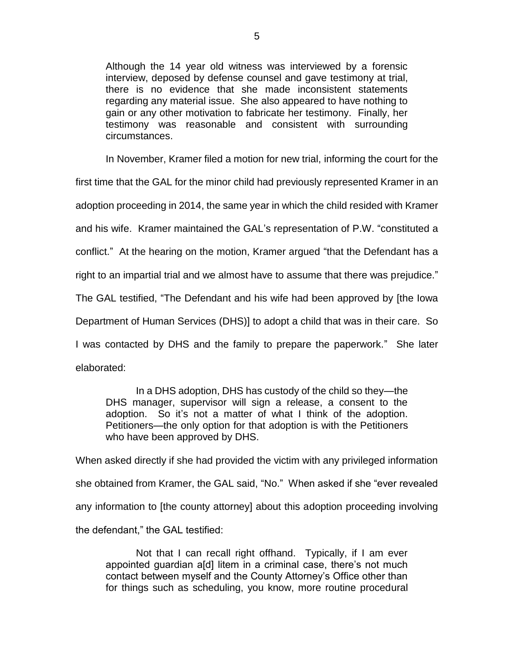Although the 14 year old witness was interviewed by a forensic interview, deposed by defense counsel and gave testimony at trial, there is no evidence that she made inconsistent statements regarding any material issue. She also appeared to have nothing to gain or any other motivation to fabricate her testimony. Finally, her testimony was reasonable and consistent with surrounding circumstances.

In November, Kramer filed a motion for new trial, informing the court for the

first time that the GAL for the minor child had previously represented Kramer in an

adoption proceeding in 2014, the same year in which the child resided with Kramer

and his wife. Kramer maintained the GAL's representation of P.W. "constituted a

conflict." At the hearing on the motion, Kramer argued "that the Defendant has a

right to an impartial trial and we almost have to assume that there was prejudice."

The GAL testified, "The Defendant and his wife had been approved by [the Iowa

Department of Human Services (DHS)] to adopt a child that was in their care. So

I was contacted by DHS and the family to prepare the paperwork." She later elaborated:

In a DHS adoption, DHS has custody of the child so they—the DHS manager, supervisor will sign a release, a consent to the adoption. So it's not a matter of what I think of the adoption. Petitioners—the only option for that adoption is with the Petitioners who have been approved by DHS.

When asked directly if she had provided the victim with any privileged information she obtained from Kramer, the GAL said, "No." When asked if she "ever revealed any information to [the county attorney] about this adoption proceeding involving the defendant," the GAL testified:

Not that I can recall right offhand. Typically, if I am ever appointed guardian a[d] litem in a criminal case, there's not much contact between myself and the County Attorney's Office other than for things such as scheduling, you know, more routine procedural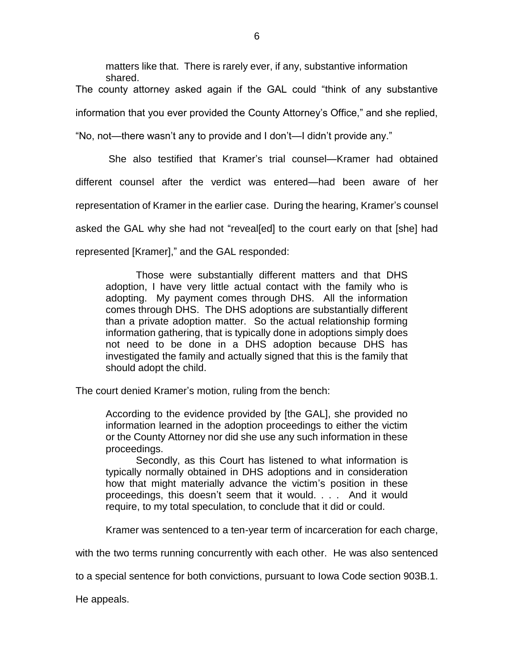matters like that. There is rarely ever, if any, substantive information shared.

The county attorney asked again if the GAL could "think of any substantive information that you ever provided the County Attorney's Office," and she replied,

"No, not—there wasn't any to provide and I don't—I didn't provide any."

She also testified that Kramer's trial counsel—Kramer had obtained different counsel after the verdict was entered—had been aware of her representation of Kramer in the earlier case. During the hearing, Kramer's counsel asked the GAL why she had not "reveal[ed] to the court early on that [she] had represented [Kramer]," and the GAL responded:

Those were substantially different matters and that DHS adoption, I have very little actual contact with the family who is adopting. My payment comes through DHS. All the information comes through DHS. The DHS adoptions are substantially different than a private adoption matter. So the actual relationship forming information gathering, that is typically done in adoptions simply does not need to be done in a DHS adoption because DHS has investigated the family and actually signed that this is the family that should adopt the child.

The court denied Kramer's motion, ruling from the bench:

According to the evidence provided by [the GAL], she provided no information learned in the adoption proceedings to either the victim or the County Attorney nor did she use any such information in these proceedings.

Secondly, as this Court has listened to what information is typically normally obtained in DHS adoptions and in consideration how that might materially advance the victim's position in these proceedings, this doesn't seem that it would. . . . And it would require, to my total speculation, to conclude that it did or could.

Kramer was sentenced to a ten-year term of incarceration for each charge,

with the two terms running concurrently with each other. He was also sentenced

to a special sentence for both convictions, pursuant to Iowa Code section 903B.1.

He appeals.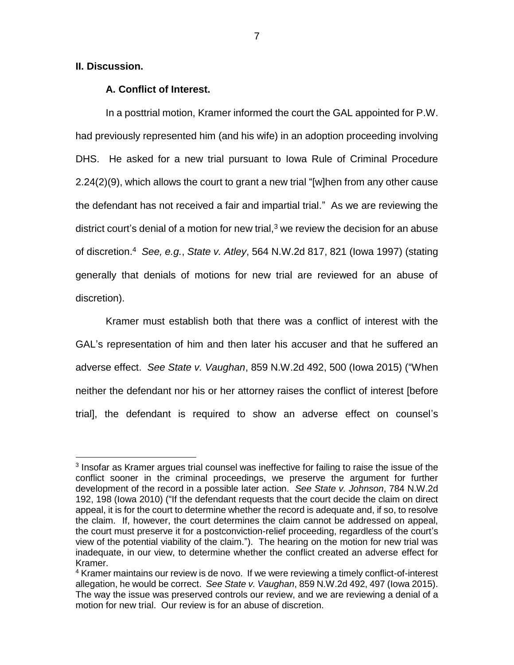# **II. Discussion.**

 $\overline{a}$ 

## **A. Conflict of Interest.**

In a posttrial motion, Kramer informed the court the GAL appointed for P.W. had previously represented him (and his wife) in an adoption proceeding involving DHS. He asked for a new trial pursuant to Iowa Rule of Criminal Procedure 2.24(2)(9), which allows the court to grant a new trial "[w]hen from any other cause the defendant has not received a fair and impartial trial." As we are reviewing the district court's denial of a motion for new trial, $3$  we review the decision for an abuse of discretion.<sup>4</sup> *See, e.g.*, *State v. Atley*, 564 N.W.2d 817, 821 (Iowa 1997) (stating generally that denials of motions for new trial are reviewed for an abuse of discretion).

Kramer must establish both that there was a conflict of interest with the GAL's representation of him and then later his accuser and that he suffered an adverse effect. *See State v. Vaughan*, 859 N.W.2d 492, 500 (Iowa 2015) ("When neither the defendant nor his or her attorney raises the conflict of interest [before trial], the defendant is required to show an adverse effect on counsel's

<sup>&</sup>lt;sup>3</sup> Insofar as Kramer argues trial counsel was ineffective for failing to raise the issue of the conflict sooner in the criminal proceedings, we preserve the argument for further development of the record in a possible later action. *See State v. Johnson*, 784 N.W.2d 192, 198 (Iowa 2010) ("If the defendant requests that the court decide the claim on direct appeal, it is for the court to determine whether the record is adequate and, if so, to resolve the claim. If, however, the court determines the claim cannot be addressed on appeal, the court must preserve it for a postconviction-relief proceeding, regardless of the court's view of the potential viability of the claim."). The hearing on the motion for new trial was inadequate, in our view, to determine whether the conflict created an adverse effect for Kramer.

<sup>&</sup>lt;sup>4</sup> Kramer maintains our review is de novo. If we were reviewing a timely conflict-of-interest allegation, he would be correct. *See State v. Vaughan*, 859 N.W.2d 492, 497 (Iowa 2015). The way the issue was preserved controls our review, and we are reviewing a denial of a motion for new trial. Our review is for an abuse of discretion.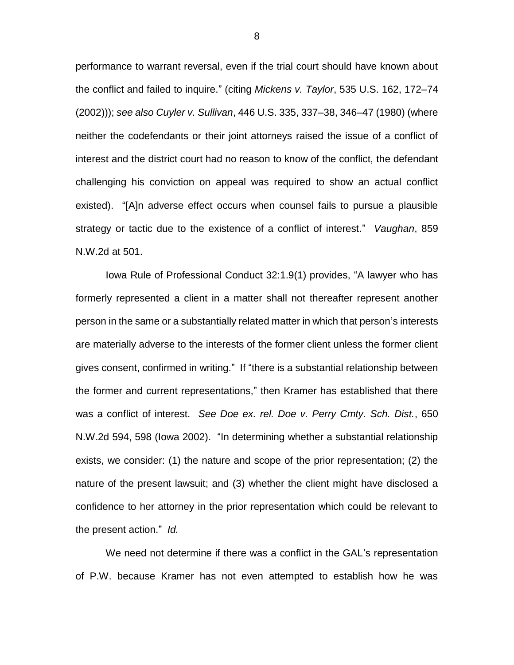performance to warrant reversal, even if the trial court should have known about the conflict and failed to inquire." (citing *Mickens v. Taylor*, 535 U.S. 162, 172–74 (2002))); *see also Cuyler v. Sullivan*, 446 U.S. 335, 337–38, 346–47 (1980) (where neither the codefendants or their joint attorneys raised the issue of a conflict of interest and the district court had no reason to know of the conflict, the defendant challenging his conviction on appeal was required to show an actual conflict existed). "[A]n adverse effect occurs when counsel fails to pursue a plausible strategy or tactic due to the existence of a conflict of interest." *Vaughan*, 859 N.W.2d at 501.

Iowa Rule of Professional Conduct 32:1.9(1) provides, "A lawyer who has formerly represented a client in a matter shall not thereafter represent another person in the same or a substantially related matter in which that person's interests are materially adverse to the interests of the former client unless the former client gives consent, confirmed in writing." If "there is a substantial relationship between the former and current representations," then Kramer has established that there was a conflict of interest. *See Doe ex. rel. Doe v. Perry Cmty. Sch. Dist.*, 650 N.W.2d 594, 598 (Iowa 2002). "In determining whether a substantial relationship exists, we consider: (1) the nature and scope of the prior representation; (2) the nature of the present lawsuit; and (3) whether the client might have disclosed a confidence to her attorney in the prior representation which could be relevant to the present action." *Id.* 

We need not determine if there was a conflict in the GAL's representation of P.W. because Kramer has not even attempted to establish how he was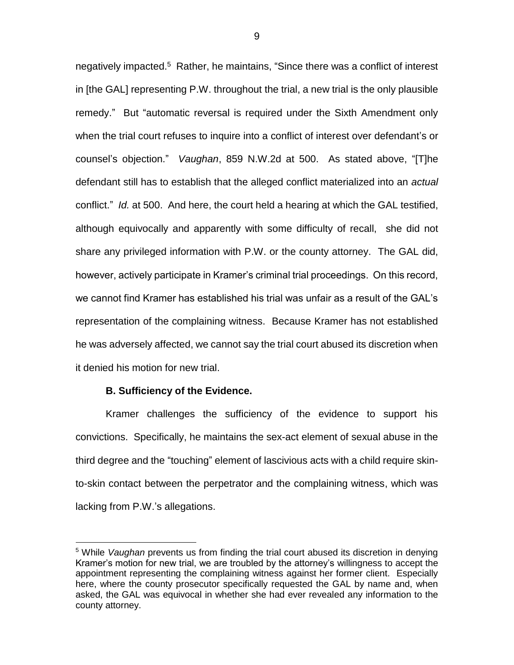negatively impacted.<sup>5</sup> Rather, he maintains, "Since there was a conflict of interest in [the GAL] representing P.W. throughout the trial, a new trial is the only plausible remedy." But "automatic reversal is required under the Sixth Amendment only when the trial court refuses to inquire into a conflict of interest over defendant's or counsel's objection." *Vaughan*, 859 N.W.2d at 500.As stated above, "[T]he defendant still has to establish that the alleged conflict materialized into an *actual* conflict." *Id.* at 500. And here, the court held a hearing at which the GAL testified, although equivocally and apparently with some difficulty of recall, she did not share any privileged information with P.W. or the county attorney. The GAL did, however, actively participate in Kramer's criminal trial proceedings. On this record, we cannot find Kramer has established his trial was unfair as a result of the GAL's representation of the complaining witness. Because Kramer has not established he was adversely affected, we cannot say the trial court abused its discretion when it denied his motion for new trial.

### **B. Sufficiency of the Evidence.**

 $\overline{a}$ 

Kramer challenges the sufficiency of the evidence to support his convictions. Specifically, he maintains the sex-act element of sexual abuse in the third degree and the "touching" element of lascivious acts with a child require skinto-skin contact between the perpetrator and the complaining witness, which was lacking from P.W.'s allegations.

<sup>5</sup> While *Vaughan* prevents us from finding the trial court abused its discretion in denying Kramer's motion for new trial, we are troubled by the attorney's willingness to accept the appointment representing the complaining witness against her former client. Especially here, where the county prosecutor specifically requested the GAL by name and, when asked, the GAL was equivocal in whether she had ever revealed any information to the county attorney.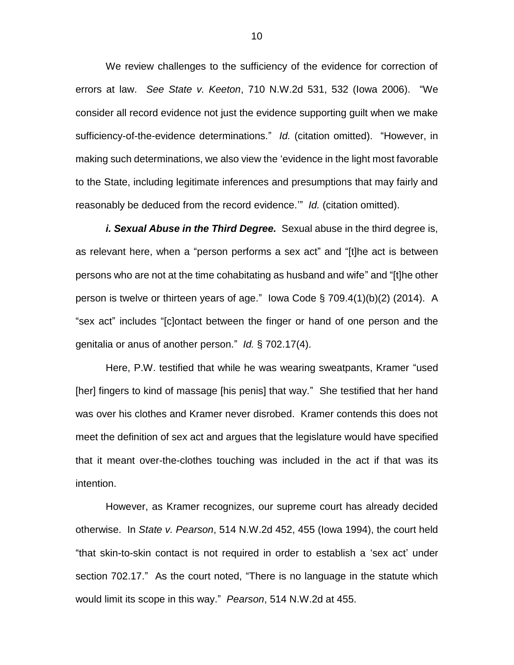We review challenges to the sufficiency of the evidence for correction of errors at law. *See State v. Keeton*, 710 N.W.2d 531, 532 (Iowa 2006). "We consider all record evidence not just the evidence supporting guilt when we make sufficiency-of-the-evidence determinations." *Id.* (citation omitted). "However, in making such determinations, we also view the 'evidence in the light most favorable to the State, including legitimate inferences and presumptions that may fairly and reasonably be deduced from the record evidence.'" *Id.* (citation omitted).

*i. Sexual Abuse in the Third Degree.* Sexual abuse in the third degree is, as relevant here, when a "person performs a sex act" and "[t]he act is between persons who are not at the time cohabitating as husband and wife" and "[t]he other person is twelve or thirteen years of age." Iowa Code § 709.4(1)(b)(2) (2014). A "sex act" includes "[c]ontact between the finger or hand of one person and the genitalia or anus of another person." *Id.* § 702.17(4).

Here, P.W. testified that while he was wearing sweatpants, Kramer "used [her] fingers to kind of massage [his penis] that way." She testified that her hand was over his clothes and Kramer never disrobed. Kramer contends this does not meet the definition of sex act and argues that the legislature would have specified that it meant over-the-clothes touching was included in the act if that was its intention.

However, as Kramer recognizes, our supreme court has already decided otherwise. In *State v. Pearson*, 514 N.W.2d 452, 455 (Iowa 1994), the court held "that skin-to-skin contact is not required in order to establish a 'sex act' under section 702.17." As the court noted, "There is no language in the statute which would limit its scope in this way." *Pearson*, 514 N.W.2d at 455.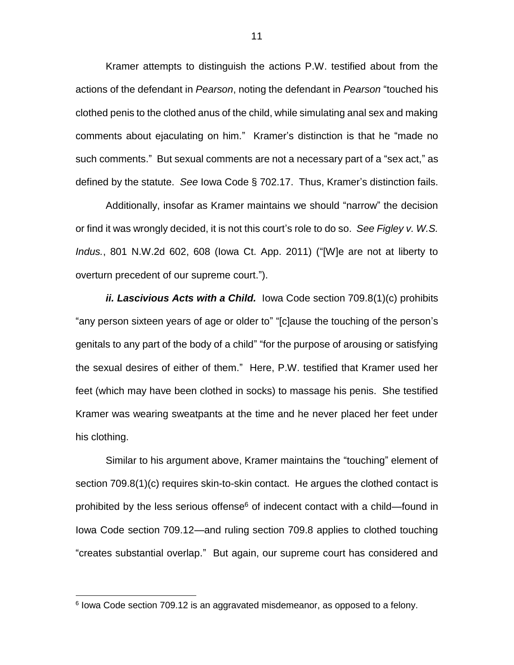Kramer attempts to distinguish the actions P.W. testified about from the actions of the defendant in *Pearson*, noting the defendant in *Pearson* "touched his clothed penis to the clothed anus of the child, while simulating anal sex and making comments about ejaculating on him." Kramer's distinction is that he "made no such comments." But sexual comments are not a necessary part of a "sex act," as defined by the statute. *See* Iowa Code § 702.17. Thus, Kramer's distinction fails.

Additionally, insofar as Kramer maintains we should "narrow" the decision or find it was wrongly decided, it is not this court's role to do so. *See Figley v. W.S. Indus.*, 801 N.W.2d 602, 608 (Iowa Ct. App. 2011) ("[W]e are not at liberty to overturn precedent of our supreme court.").

*ii. Lascivious Acts with a Child.* Iowa Code section 709.8(1)(c) prohibits "any person sixteen years of age or older to" "[c]ause the touching of the person's genitals to any part of the body of a child" "for the purpose of arousing or satisfying the sexual desires of either of them." Here, P.W. testified that Kramer used her feet (which may have been clothed in socks) to massage his penis. She testified Kramer was wearing sweatpants at the time and he never placed her feet under his clothing.

Similar to his argument above, Kramer maintains the "touching" element of section 709.8(1)(c) requires skin-to-skin contact. He argues the clothed contact is prohibited by the less serious offense $6$  of indecent contact with a child—found in Iowa Code section 709.12—and ruling section 709.8 applies to clothed touching "creates substantial overlap." But again, our supreme court has considered and

 $\overline{a}$ 

<sup>&</sup>lt;sup>6</sup> lowa Code section 709.12 is an aggravated misdemeanor, as opposed to a felony.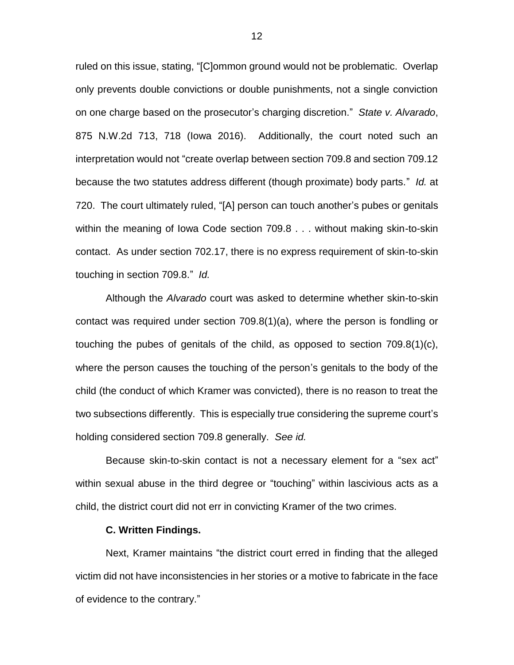ruled on this issue, stating, "[C]ommon ground would not be problematic. Overlap only prevents double convictions or double punishments, not a single conviction on one charge based on the prosecutor's charging discretion." *State v. Alvarado*, 875 N.W.2d 713, 718 (Iowa 2016). Additionally, the court noted such an interpretation would not "create overlap between section 709.8 and section 709.12 because the two statutes address different (though proximate) body parts." *Id.* at 720. The court ultimately ruled, "[A] person can touch another's pubes or genitals within the meaning of Iowa Code section 709.8 . . . without making skin-to-skin contact. As under section 702.17, there is no express requirement of skin-to-skin touching in section 709.8." *Id.* 

Although the *Alvarado* court was asked to determine whether skin-to-skin contact was required under section 709.8(1)(a), where the person is fondling or touching the pubes of genitals of the child, as opposed to section 709.8(1)(c), where the person causes the touching of the person's genitals to the body of the child (the conduct of which Kramer was convicted), there is no reason to treat the two subsections differently. This is especially true considering the supreme court's holding considered section 709.8 generally. *See id.*

Because skin-to-skin contact is not a necessary element for a "sex act" within sexual abuse in the third degree or "touching" within lascivious acts as a child, the district court did not err in convicting Kramer of the two crimes.

## **C. Written Findings.**

Next, Kramer maintains "the district court erred in finding that the alleged victim did not have inconsistencies in her stories or a motive to fabricate in the face of evidence to the contrary."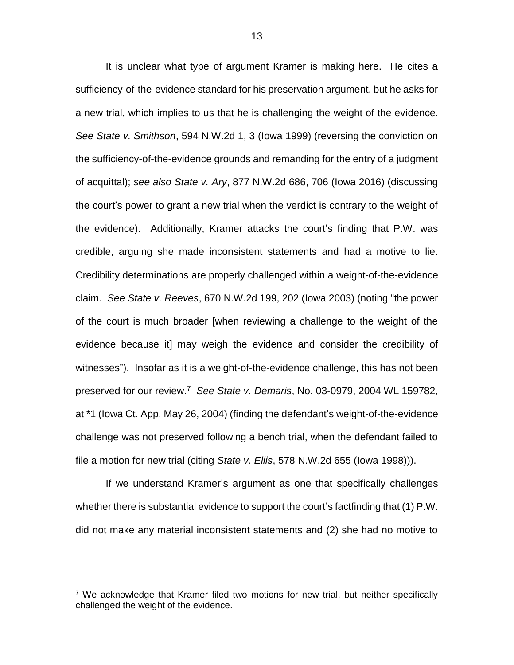It is unclear what type of argument Kramer is making here. He cites a sufficiency-of-the-evidence standard for his preservation argument, but he asks for a new trial, which implies to us that he is challenging the weight of the evidence. *See State v. Smithson*, 594 N.W.2d 1, 3 (Iowa 1999) (reversing the conviction on the sufficiency-of-the-evidence grounds and remanding for the entry of a judgment of acquittal); *see also State v. Ary*, 877 N.W.2d 686, 706 (Iowa 2016) (discussing the court's power to grant a new trial when the verdict is contrary to the weight of the evidence). Additionally, Kramer attacks the court's finding that P.W. was credible, arguing she made inconsistent statements and had a motive to lie. Credibility determinations are properly challenged within a weight-of-the-evidence claim. *See State v. Reeves*, 670 N.W.2d 199, 202 (Iowa 2003) (noting "the power of the court is much broader [when reviewing a challenge to the weight of the evidence because it] may weigh the evidence and consider the credibility of witnesses"). Insofar as it is a weight-of-the-evidence challenge, this has not been preserved for our review.<sup>7</sup> *See State v. Demaris*, No. 03-0979, 2004 WL 159782, at \*1 (Iowa Ct. App. May 26, 2004) (finding the defendant's weight-of-the-evidence challenge was not preserved following a bench trial, when the defendant failed to file a motion for new trial (citing *State v. Ellis*, 578 N.W.2d 655 (Iowa 1998))).

If we understand Kramer's argument as one that specifically challenges whether there is substantial evidence to support the court's factfinding that (1) P.W. did not make any material inconsistent statements and (2) she had no motive to

 $\overline{a}$ 

<sup>&</sup>lt;sup>7</sup> We acknowledge that Kramer filed two motions for new trial, but neither specifically challenged the weight of the evidence.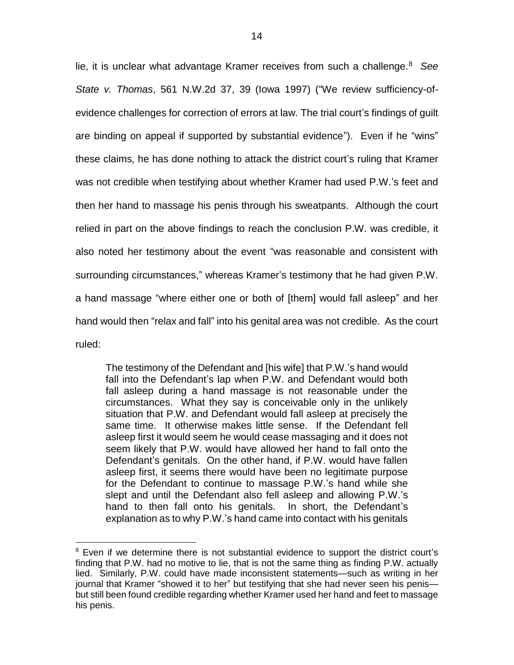lie, it is unclear what advantage Kramer receives from such a challenge.<sup>8</sup> *See State v. Thomas*, 561 N.W.2d 37, 39 (Iowa 1997) ("We review sufficiency-ofevidence challenges for correction of errors at law. The trial court's findings of guilt are binding on appeal if supported by substantial evidence"). Even if he "wins" these claims, he has done nothing to attack the district court's ruling that Kramer was not credible when testifying about whether Kramer had used P.W.'s feet and then her hand to massage his penis through his sweatpants. Although the court relied in part on the above findings to reach the conclusion P.W. was credible, it also noted her testimony about the event "was reasonable and consistent with surrounding circumstances," whereas Kramer's testimony that he had given P.W. a hand massage "where either one or both of [them] would fall asleep" and her hand would then "relax and fall" into his genital area was not credible. As the court ruled:

The testimony of the Defendant and [his wife] that P.W.'s hand would fall into the Defendant's lap when P.W. and Defendant would both fall asleep during a hand massage is not reasonable under the circumstances. What they say is conceivable only in the unlikely situation that P.W. and Defendant would fall asleep at precisely the same time. It otherwise makes little sense. If the Defendant fell asleep first it would seem he would cease massaging and it does not seem likely that P.W. would have allowed her hand to fall onto the Defendant's genitals. On the other hand, if P.W. would have fallen asleep first, it seems there would have been no legitimate purpose for the Defendant to continue to massage P.W.'s hand while she slept and until the Defendant also fell asleep and allowing P.W.'s hand to then fall onto his genitals. In short, the Defendant's explanation as to why P.W.'s hand came into contact with his genitals

 $\overline{a}$ 

<sup>&</sup>lt;sup>8</sup> Even if we determine there is not substantial evidence to support the district court's finding that P.W. had no motive to lie, that is not the same thing as finding P.W. actually lied. Similarly, P.W. could have made inconsistent statements—such as writing in her journal that Kramer "showed it to her" but testifying that she had never seen his penis but still been found credible regarding whether Kramer used her hand and feet to massage his penis.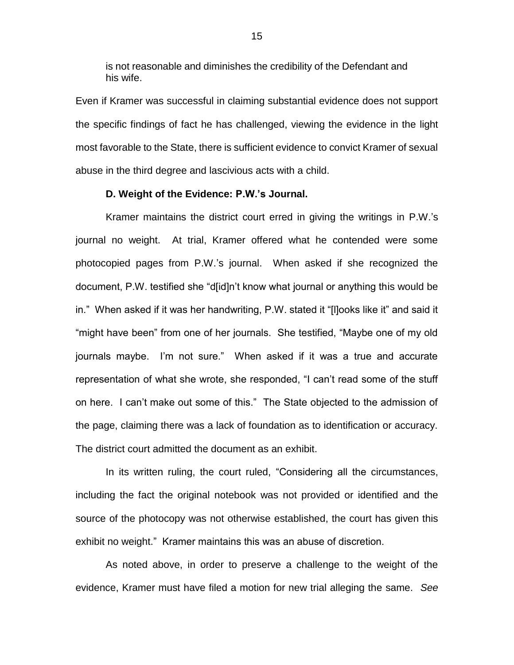is not reasonable and diminishes the credibility of the Defendant and his wife.

Even if Kramer was successful in claiming substantial evidence does not support the specific findings of fact he has challenged, viewing the evidence in the light most favorable to the State, there is sufficient evidence to convict Kramer of sexual abuse in the third degree and lascivious acts with a child.

## **D. Weight of the Evidence: P.W.'s Journal.**

Kramer maintains the district court erred in giving the writings in P.W.'s journal no weight. At trial, Kramer offered what he contended were some photocopied pages from P.W.'s journal. When asked if she recognized the document, P.W. testified she "d[id]n't know what journal or anything this would be in." When asked if it was her handwriting, P.W. stated it "[l]ooks like it" and said it "might have been" from one of her journals. She testified, "Maybe one of my old journals maybe. I'm not sure." When asked if it was a true and accurate representation of what she wrote, she responded, "I can't read some of the stuff on here. I can't make out some of this." The State objected to the admission of the page, claiming there was a lack of foundation as to identification or accuracy. The district court admitted the document as an exhibit.

In its written ruling, the court ruled, "Considering all the circumstances, including the fact the original notebook was not provided or identified and the source of the photocopy was not otherwise established, the court has given this exhibit no weight." Kramer maintains this was an abuse of discretion.

As noted above, in order to preserve a challenge to the weight of the evidence, Kramer must have filed a motion for new trial alleging the same. *See*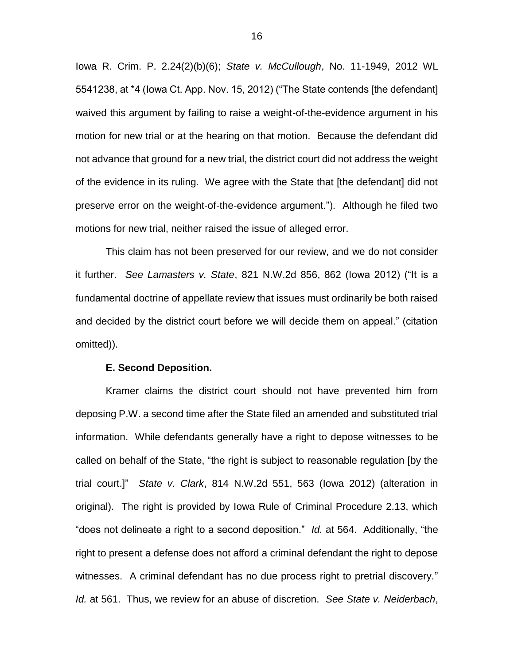Iowa R. Crim. P. 2.24(2)(b)(6); *State v. McCullough*, No. 11-1949, 2012 WL 5541238, at \*4 (Iowa Ct. App. Nov. 15, 2012) ("The State contends [the defendant] waived this argument by failing to raise a weight-of-the-evidence argument in his motion for new trial or at the hearing on that motion. Because the defendant did not advance that ground for a new trial, the district court did not address the weight of the evidence in its ruling. We agree with the State that [the defendant] did not preserve error on the weight-of-the-evidence argument."). Although he filed two motions for new trial, neither raised the issue of alleged error.

This claim has not been preserved for our review, and we do not consider it further. *See Lamasters v. State*, 821 N.W.2d 856, 862 (Iowa 2012) ("It is a fundamental doctrine of appellate review that issues must ordinarily be both raised and decided by the district court before we will decide them on appeal." (citation omitted)).

#### **E. Second Deposition.**

Kramer claims the district court should not have prevented him from deposing P.W. a second time after the State filed an amended and substituted trial information. While defendants generally have a right to depose witnesses to be called on behalf of the State, "the right is subject to reasonable regulation [by the trial court.]" *State v. Clark*, 814 N.W.2d 551, 563 (Iowa 2012) (alteration in original). The right is provided by Iowa Rule of Criminal Procedure 2.13, which "does not delineate a right to a second deposition." *Id.* at 564. Additionally, "the right to present a defense does not afford a criminal defendant the right to depose witnesses. A criminal defendant has no due process right to pretrial discovery." *Id.* at 561. Thus, we review for an abuse of discretion. *See State v. Neiderbach*,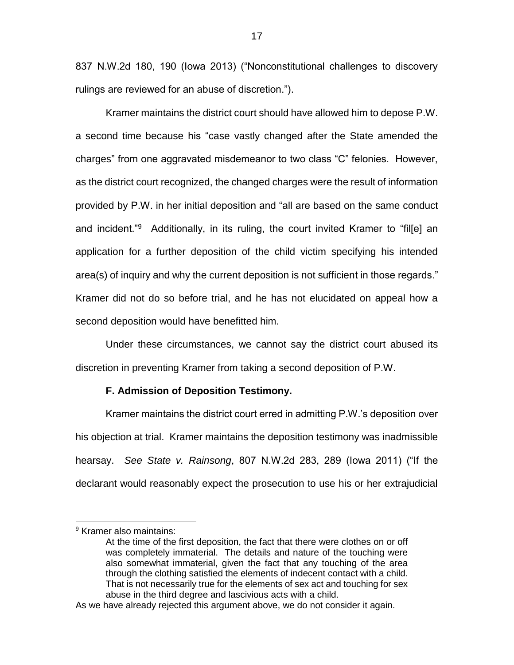837 N.W.2d 180, 190 (Iowa 2013) ("Nonconstitutional challenges to discovery rulings are reviewed for an abuse of discretion.").

Kramer maintains the district court should have allowed him to depose P.W. a second time because his "case vastly changed after the State amended the charges" from one aggravated misdemeanor to two class "C" felonies. However, as the district court recognized, the changed charges were the result of information provided by P.W. in her initial deposition and "all are based on the same conduct and incident."<sup>9</sup> Additionally, in its ruling, the court invited Kramer to "fil[e] an application for a further deposition of the child victim specifying his intended area(s) of inquiry and why the current deposition is not sufficient in those regards." Kramer did not do so before trial, and he has not elucidated on appeal how a second deposition would have benefitted him.

Under these circumstances, we cannot say the district court abused its discretion in preventing Kramer from taking a second deposition of P.W.

### **F. Admission of Deposition Testimony.**

Kramer maintains the district court erred in admitting P.W.'s deposition over his objection at trial. Kramer maintains the deposition testimony was inadmissible hearsay. *See State v. Rainsong*, 807 N.W.2d 283, 289 (Iowa 2011) ("If the declarant would reasonably expect the prosecution to use his or her extrajudicial

 $\overline{a}$ 

<sup>&</sup>lt;sup>9</sup> Kramer also maintains:

At the time of the first deposition, the fact that there were clothes on or off was completely immaterial. The details and nature of the touching were also somewhat immaterial, given the fact that any touching of the area through the clothing satisfied the elements of indecent contact with a child. That is not necessarily true for the elements of sex act and touching for sex abuse in the third degree and lascivious acts with a child.

As we have already rejected this argument above, we do not consider it again.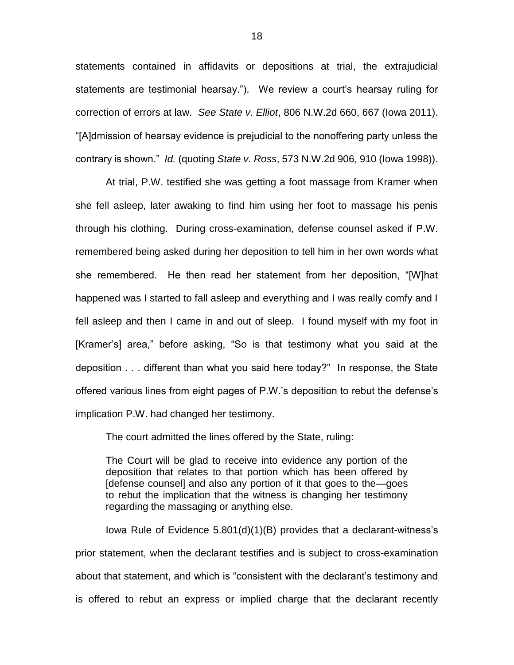statements contained in affidavits or depositions at trial, the extrajudicial statements are testimonial hearsay."). We review a court's hearsay ruling for correction of errors at law. *See State v. Elliot*, 806 N.W.2d 660, 667 (Iowa 2011). "[A]dmission of hearsay evidence is prejudicial to the nonoffering party unless the contrary is shown." *Id.* (quoting *State v. Ross*, 573 N.W.2d 906, 910 (Iowa 1998)).

At trial, P.W. testified she was getting a foot massage from Kramer when she fell asleep, later awaking to find him using her foot to massage his penis through his clothing. During cross-examination, defense counsel asked if P.W. remembered being asked during her deposition to tell him in her own words what she remembered. He then read her statement from her deposition, "[W]hat happened was I started to fall asleep and everything and I was really comfy and I fell asleep and then I came in and out of sleep. I found myself with my foot in [Kramer's] area," before asking, "So is that testimony what you said at the deposition . . . different than what you said here today?" In response, the State offered various lines from eight pages of P.W.'s deposition to rebut the defense's implication P.W. had changed her testimony.

The court admitted the lines offered by the State, ruling:

The Court will be glad to receive into evidence any portion of the deposition that relates to that portion which has been offered by [defense counsel] and also any portion of it that goes to the—goes to rebut the implication that the witness is changing her testimony regarding the massaging or anything else.

Iowa Rule of Evidence 5.801(d)(1)(B) provides that a declarant-witness's prior statement, when the declarant testifies and is subject to cross-examination about that statement, and which is "consistent with the declarant's testimony and is offered to rebut an express or implied charge that the declarant recently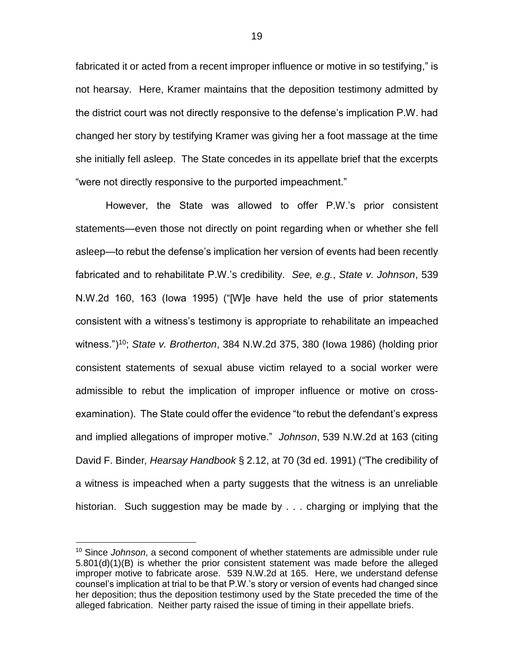fabricated it or acted from a recent improper influence or motive in so testifying," is not hearsay. Here, Kramer maintains that the deposition testimony admitted by the district court was not directly responsive to the defense's implication P.W. had changed her story by testifying Kramer was giving her a foot massage at the time she initially fell asleep. The State concedes in its appellate brief that the excerpts "were not directly responsive to the purported impeachment."

However, the State was allowed to offer P.W.'s prior consistent statements—even those not directly on point regarding when or whether she fell asleep—to rebut the defense's implication her version of events had been recently fabricated and to rehabilitate P.W.'s credibility. *See, e.g.*, *State v. Johnson*, 539 N.W.2d 160, 163 (Iowa 1995) ("[W]e have held the use of prior statements consistent with a witness's testimony is appropriate to rehabilitate an impeached witness.")<sup>10</sup>; *State v. Brotherton*, 384 N.W.2d 375, 380 (Iowa 1986) (holding prior consistent statements of sexual abuse victim relayed to a social worker were admissible to rebut the implication of improper influence or motive on crossexamination). The State could offer the evidence "to rebut the defendant's express and implied allegations of improper motive." *Johnson*, 539 N.W.2d at 163 (citing David F. Binder*, Hearsay Handbook* § 2.12, at 70 (3d ed. 1991) ("The credibility of a witness is impeached when a party suggests that the witness is an unreliable historian. Such suggestion may be made by . . . charging or implying that the

 $\overline{a}$ 

<sup>10</sup> Since *Johnson*, a second component of whether statements are admissible under rule  $5.801(d)(1)(B)$  is whether the prior consistent statement was made before the alleged improper motive to fabricate arose. 539 N.W.2d at 165. Here, we understand defense counsel's implication at trial to be that P.W.'s story or version of events had changed since her deposition; thus the deposition testimony used by the State preceded the time of the alleged fabrication. Neither party raised the issue of timing in their appellate briefs.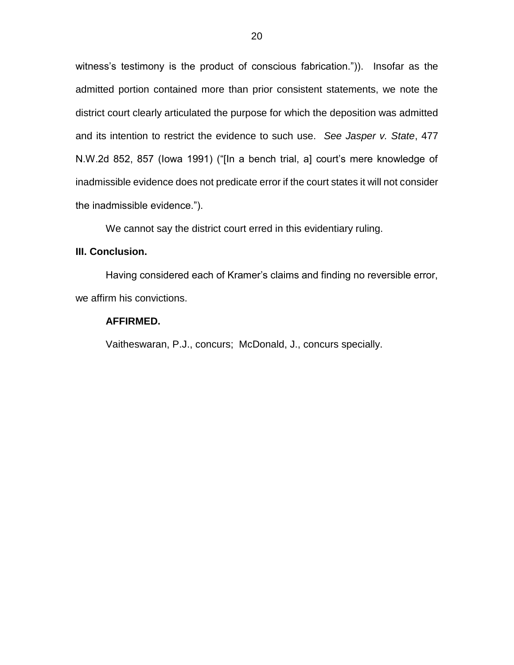witness's testimony is the product of conscious fabrication.")). Insofar as the admitted portion contained more than prior consistent statements, we note the district court clearly articulated the purpose for which the deposition was admitted and its intention to restrict the evidence to such use. *See Jasper v. State*, 477 N.W.2d 852, 857 (Iowa 1991) ("[In a bench trial, a] court's mere knowledge of inadmissible evidence does not predicate error if the court states it will not consider the inadmissible evidence.").

We cannot say the district court erred in this evidentiary ruling.

## **III. Conclusion.**

Having considered each of Kramer's claims and finding no reversible error, we affirm his convictions.

## **AFFIRMED.**

Vaitheswaran, P.J., concurs; McDonald, J., concurs specially.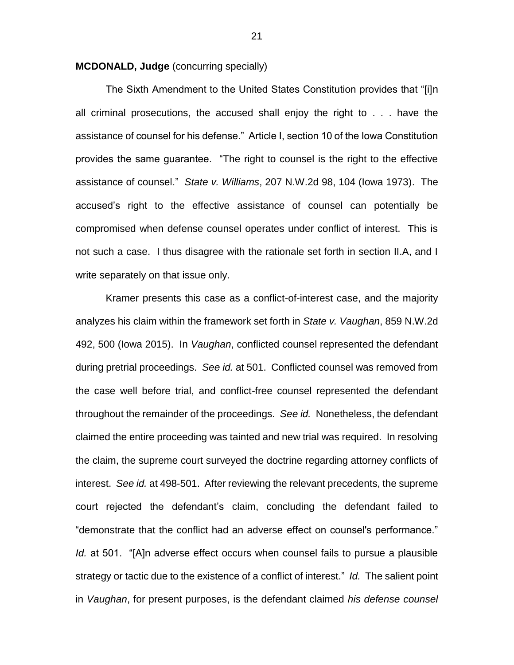**MCDONALD, Judge** (concurring specially)

The Sixth Amendment to the United States Constitution provides that "[i]n all criminal prosecutions, the accused shall enjoy the right to . . . have the assistance of counsel for his defense." Article I, section 10 of the Iowa Constitution provides the same guarantee. "The right to counsel is the right to the effective assistance of counsel." *State v. Williams*, 207 N.W.2d 98, 104 (Iowa 1973). The accused's right to the effective assistance of counsel can potentially be compromised when defense counsel operates under conflict of interest. This is not such a case. I thus disagree with the rationale set forth in section II.A, and I write separately on that issue only.

Kramer presents this case as a conflict-of-interest case, and the majority analyzes his claim within the framework set forth in *State v. Vaughan*, 859 N.W.2d 492, 500 (Iowa 2015). In *Vaughan*, conflicted counsel represented the defendant during pretrial proceedings. *See id.* at 501. Conflicted counsel was removed from the case well before trial, and conflict-free counsel represented the defendant throughout the remainder of the proceedings. *See id.* Nonetheless, the defendant claimed the entire proceeding was tainted and new trial was required. In resolving the claim, the supreme court surveyed the doctrine regarding attorney conflicts of interest. *See id.* at 498-501. After reviewing the relevant precedents, the supreme court rejected the defendant's claim, concluding the defendant failed to "demonstrate that the conflict had an adverse effect on counsel's performance." *Id.* at 501. "[A]n adverse effect occurs when counsel fails to pursue a plausible strategy or tactic due to the existence of a conflict of interest." *Id.* The salient point in *Vaughan*, for present purposes, is the defendant claimed *his defense counsel*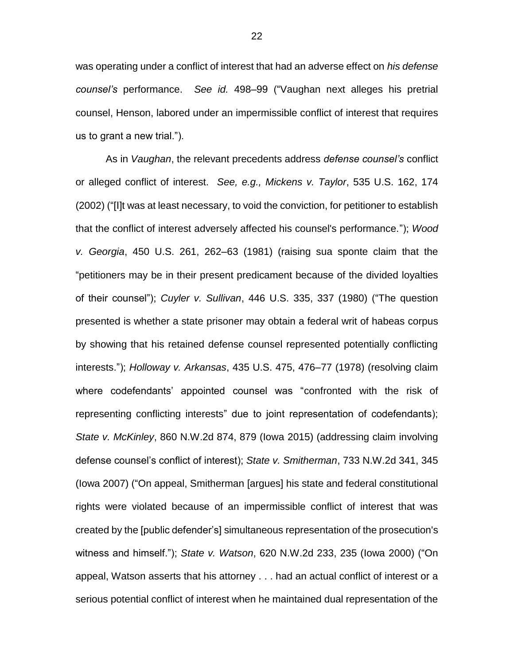was operating under a conflict of interest that had an adverse effect on *his defense counsel's* performance. *See id.* 498–99 ("Vaughan next alleges his pretrial counsel, Henson, labored under an impermissible conflict of interest that requires us to grant a new trial.").

As in *Vaughan*, the relevant precedents address *defense counsel's* conflict or alleged conflict of interest. *See, e.g., Mickens v. Taylor*, 535 U.S. 162, 174 (2002) ("[I]t was at least necessary, to void the conviction, for petitioner to establish that the conflict of interest adversely affected his counsel's performance."); *Wood v. Georgia*, 450 U.S. 261, 262–63 (1981) (raising sua sponte claim that the "petitioners may be in their present predicament because of the divided loyalties of their counsel"); *Cuyler v. Sullivan*, 446 U.S. 335, 337 (1980) ("The question presented is whether a state prisoner may obtain a federal writ of habeas corpus by showing that his retained defense counsel represented potentially conflicting interests."); *Holloway v. Arkansas*, 435 U.S. 475, 476–77 (1978) (resolving claim where codefendants' appointed counsel was "confronted with the risk of representing conflicting interests" due to joint representation of codefendants); *State v. McKinley*, 860 N.W.2d 874, 879 (Iowa 2015) (addressing claim involving defense counsel's conflict of interest); *State v. Smitherman*, 733 N.W.2d 341, 345 (Iowa 2007) ("On appeal, Smitherman [argues] his state and federal constitutional rights were violated because of an impermissible conflict of interest that was created by the [public defender's] simultaneous representation of the prosecution's witness and himself."); *State v. Watson*, 620 N.W.2d 233, 235 (Iowa 2000) ("On appeal, Watson asserts that his attorney . . . had an actual conflict of interest or a serious potential conflict of interest when he maintained dual representation of the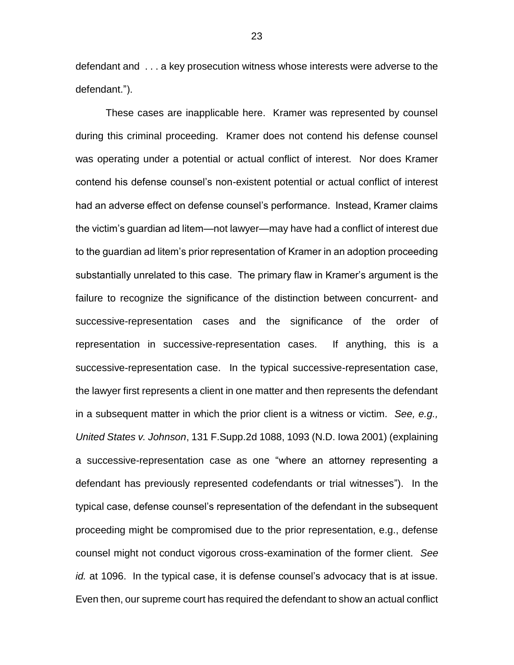defendant and . . . a key prosecution witness whose interests were adverse to the defendant.").

These cases are inapplicable here. Kramer was represented by counsel during this criminal proceeding. Kramer does not contend his defense counsel was operating under a potential or actual conflict of interest. Nor does Kramer contend his defense counsel's non-existent potential or actual conflict of interest had an adverse effect on defense counsel's performance. Instead, Kramer claims the victim's guardian ad litem—not lawyer—may have had a conflict of interest due to the guardian ad litem's prior representation of Kramer in an adoption proceeding substantially unrelated to this case. The primary flaw in Kramer's argument is the failure to recognize the significance of the distinction between concurrent- and successive-representation cases and the significance of the order of representation in successive-representation cases. If anything, this is a successive-representation case. In the typical successive-representation case, the lawyer first represents a client in one matter and then represents the defendant in a subsequent matter in which the prior client is a witness or victim. *See, e.g., United States v. Johnson*, 131 F.Supp.2d 1088, 1093 (N.D. Iowa 2001) (explaining a successive-representation case as one "where an attorney representing a defendant has previously represented codefendants or trial witnesses"). In the typical case, defense counsel's representation of the defendant in the subsequent proceeding might be compromised due to the prior representation, e.g., defense counsel might not conduct vigorous cross-examination of the former client. *See id.* at 1096. In the typical case, it is defense counsel's advocacy that is at issue. Even then, our supreme court has required the defendant to show an actual conflict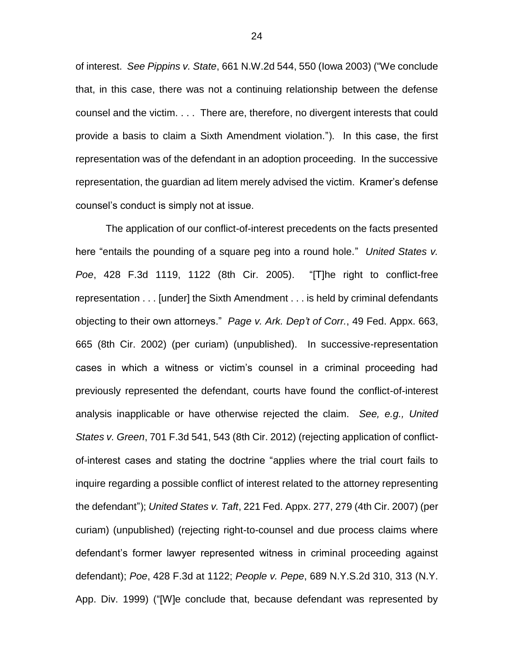of interest. *See Pippins v. State*, 661 N.W.2d 544, 550 (Iowa 2003) ("We conclude that, in this case, there was not a continuing relationship between the defense counsel and the victim. . . . There are, therefore, no divergent interests that could provide a basis to claim a Sixth Amendment violation."). In this case, the first representation was of the defendant in an adoption proceeding. In the successive representation, the guardian ad litem merely advised the victim. Kramer's defense counsel's conduct is simply not at issue.

The application of our conflict-of-interest precedents on the facts presented here "entails the pounding of a square peg into a round hole." *United States v. Poe*, 428 F.3d 1119, 1122 (8th Cir. 2005). "[T]he right to conflict-free representation . . . [under] the Sixth Amendment . . . is held by criminal defendants objecting to their own attorneys." *Page v. Ark. Dep't of Corr.*, 49 Fed. Appx. 663, 665 (8th Cir. 2002) (per curiam) (unpublished). In successive-representation cases in which a witness or victim's counsel in a criminal proceeding had previously represented the defendant, courts have found the conflict-of-interest analysis inapplicable or have otherwise rejected the claim. *See, e.g., United States v. Green*, 701 F.3d 541, 543 (8th Cir. 2012) (rejecting application of conflictof-interest cases and stating the doctrine "applies where the trial court fails to inquire regarding a possible conflict of interest related to the attorney representing the defendant"); *United States v. Taft*, 221 Fed. Appx. 277, 279 (4th Cir. 2007) (per curiam) (unpublished) (rejecting right-to-counsel and due process claims where defendant's former lawyer represented witness in criminal proceeding against defendant); *Poe*, 428 F.3d at 1122; *People v. Pepe*, 689 N.Y.S.2d 310, 313 (N.Y. App. Div. 1999) ("[W]e conclude that, because defendant was represented by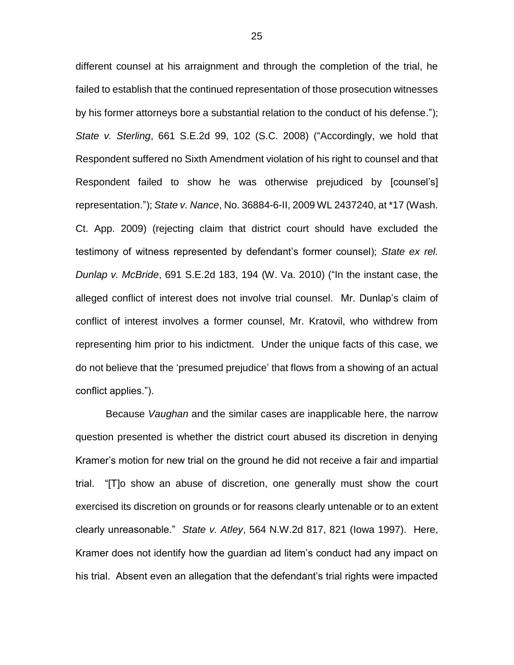different counsel at his arraignment and through the completion of the trial, he failed to establish that the continued representation of those prosecution witnesses by his former attorneys bore a substantial relation to the conduct of his defense."); *State v. Sterling*, 661 S.E.2d 99, 102 (S.C. 2008) ("Accordingly, we hold that Respondent suffered no Sixth Amendment violation of his right to counsel and that Respondent failed to show he was otherwise prejudiced by [counsel's] representation."); *State v. Nance*, No. 36884-6-II, 2009 WL 2437240, at \*17 (Wash. Ct. App. 2009) (rejecting claim that district court should have excluded the testimony of witness represented by defendant's former counsel); *State ex rel. Dunlap v. McBride*, 691 S.E.2d 183, 194 (W. Va. 2010) ("In the instant case, the alleged conflict of interest does not involve trial counsel. Mr. Dunlap's claim of conflict of interest involves a former counsel, Mr. Kratovil, who withdrew from representing him prior to his indictment. Under the unique facts of this case, we do not believe that the 'presumed prejudice' that flows from a showing of an actual conflict applies.").

Because *Vaughan* and the similar cases are inapplicable here, the narrow question presented is whether the district court abused its discretion in denying Kramer's motion for new trial on the ground he did not receive a fair and impartial trial. "[T]o show an abuse of discretion, one generally must show the court exercised its discretion on grounds or for reasons clearly untenable or to an extent clearly unreasonable." *State v. Atley*, 564 N.W.2d 817, 821 (Iowa 1997). Here, Kramer does not identify how the guardian ad litem's conduct had any impact on his trial. Absent even an allegation that the defendant's trial rights were impacted